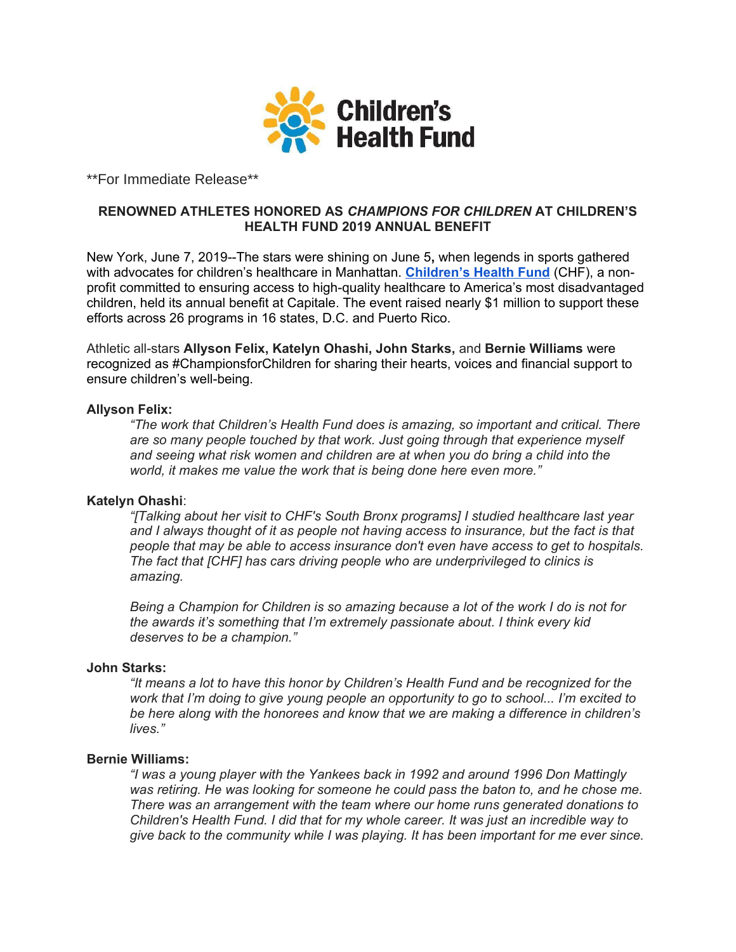

\*\*For Immediate Release\*\*

## **RENOWNED ATHLETES HONORED AS** *CHAMPIONS FOR CHILDREN* **AT CHILDREN'S HEALTH FUND 2019 ANNUAL BENEFIT**

New York, June 7, 2019--The stars were shining on June 5**,** when legends in sports gathered with advocates for children's healthcare in Manhattan. **[Children's Health Fund](http://www.childrenshealthfund.org/)** (CHF), a nonprofit committed to ensuring access to high-quality healthcare to America's most disadvantaged children, held its annual benefit at Capitale. The event raised nearly \$1 million to support these efforts across 26 programs in 16 states, D.C. and Puerto Rico.

Athletic all-stars **Allyson Felix, Katelyn Ohashi, John Starks,** and **Bernie Williams** were recognized as #ChampionsforChildren for sharing their hearts, voices and financial support to ensure children's well-being.

### **Allyson Felix:**

*"The work that Children's Health Fund does is amazing, so important and critical. There are so many people touched by that work. Just going through that experience myself and seeing what risk women and children are at when you do bring a child into the world, it makes me value the work that is being done here even more."*

## **Katelyn Ohashi**:

*"[Talking about her visit to CHF's South Bronx programs] I studied healthcare last year and I always thought of it as people not having access to insurance, but the fact is that people that may be able to access insurance don't even have access to get to hospitals. The fact that [CHF] has cars driving people who are underprivileged to clinics is amazing.*

*Being a Champion for Children is so amazing because a lot of the work I do is not for the awards it's something that I'm extremely passionate about. I think every kid deserves to be a champion."* 

# **John Starks:**

*"It means a lot to have this honor by Children's Health Fund and be recognized for the work that I'm doing to give young people an opportunity to go to school... I'm excited to be here along with the honorees and know that we are making a difference in children's lives."* 

### **Bernie Williams:**

*"I was a young player with the Yankees back in 1992 and around 1996 Don Mattingly was retiring. He was looking for someone he could pass the baton to, and he chose me. There was an arrangement with the team where our home runs generated donations to Children's Health Fund. I did that for my whole career. It was just an incredible way to give back to the community while I was playing. It has been important for me ever since.*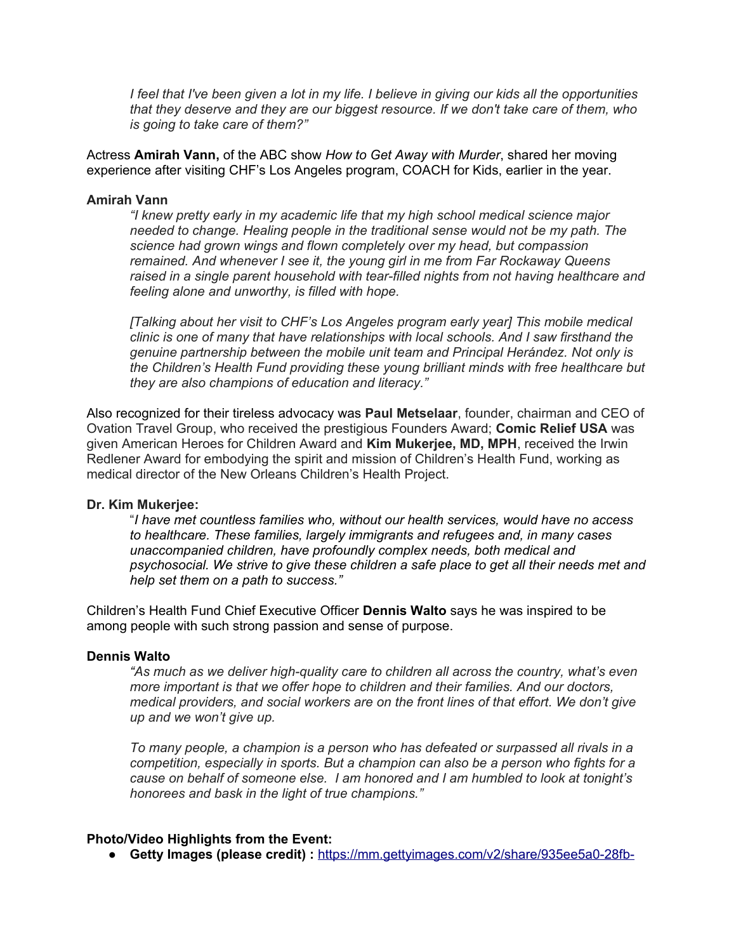*I feel that I've been given a lot in my life. I believe in giving our kids all the opportunities that they deserve and they are our biggest resource. If we don't take care of them, who is going to take care of them?"*

Actress **Amirah Vann,** of the ABC show *How to Get Away with Murder*, shared her moving experience after visiting CHF's Los Angeles program, COACH for Kids, earlier in the year.

#### **Amirah Vann**

*"I knew pretty early in my academic life that my high school medical science major needed to change. Healing people in the traditional sense would not be my path. The science had grown wings and flown completely over my head, but compassion remained. And whenever I see it, the young girl in me from Far Rockaway Queens raised in a single parent household with tear-filled nights from not having healthcare and feeling alone and unworthy, is filled with hope.* 

*[Talking about her visit to CHF's Los Angeles program early year] This mobile medical clinic is one of many that have relationships with local schools. And I saw firsthand the genuine partnership between the mobile unit team and Principal Herández. Not only is the Children's Health Fund providing these young brilliant minds with free healthcare but they are also champions of education and literacy."*

Also recognized for their tireless advocacy was **Paul Metselaar**, founder, chairman and CEO of Ovation Travel Group, who received the prestigious Founders Award; **Comic Relief USA** was given American Heroes for Children Award and **Kim Mukerjee, MD, MPH**, received the Irwin Redlener Award for embodying the spirit and mission of Children's Health Fund, working as medical director of the New Orleans Children's Health Project.

#### **Dr. Kim Mukerjee:**

"*I have met countless families who, without our health services, would have no access to healthcare. These families, largely immigrants and refugees and, in many cases unaccompanied children, have profoundly complex needs, both medical and psychosocial. We strive to give these children a safe place to get all their needs met and help set them on a path to success."*

Children's Health Fund Chief Executive Officer **Dennis Walto** says he was inspired to be among people with such strong passion and sense of purpose.

#### **Dennis Walto**

*"As much as we deliver high-quality care to children all across the country, what's even more important is that we offer hope to children and their families. And our doctors, medical providers, and social workers are on the front lines of that effort. We don't give up and we won't give up.* 

*To many people, a champion is a person who has defeated or surpassed all rivals in a competition, especially in sports. But a champion can also be a person who fights for a cause on behalf of someone else. I am honored and I am humbled to look at tonight's honorees and bask in the light of true champions."*

### **Photo/Video Highlights from the Event:**

● **Getty Images (please credit) :** [https://mm.gettyimages.com/v2/share/935ee5a0-28fb-](https://mm.gettyimages.com/v2/share/935ee5a0-28fb-49f8-a7f6-f99b513765d9?page=1&order=desc)